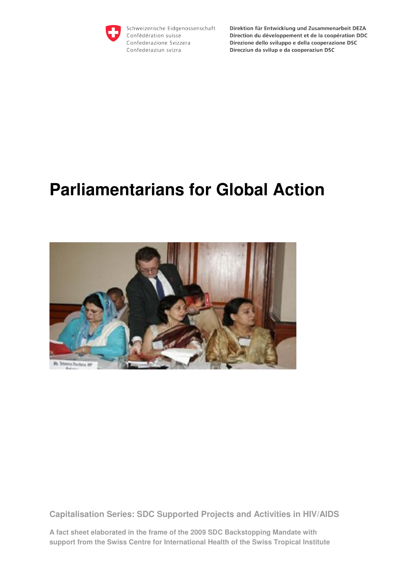

Schweizerische Eidgenossenschaft Confédération suisse Confederazione Svizzera Confederaziun svizra

Direktion für Entwicklung und Zusammenarbeit DEZA Direction du développement et de la coopération DDC Direzione dello sviluppo e della cooperazione DSC Direcziun da svilup e da cooperaziun DSC

# **Parliamentarians for Global Action**



**Capitalisation Series: SDC Supported Projects and Activities in HIV/AIDS** 

**A fact sheet elaborated in the frame of the 2009 SDC Backstopping Mandate with support from the Swiss Centre for International Health of the Swiss Tropical Institute**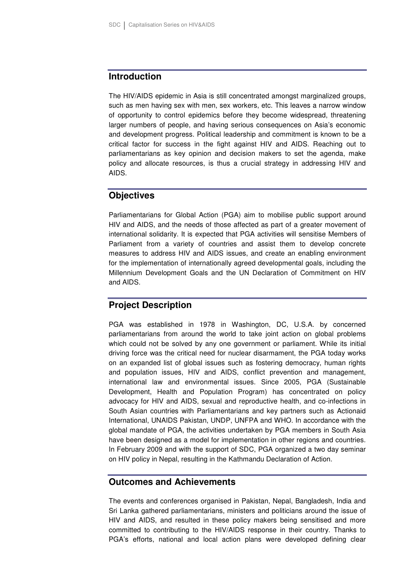### **Introduction**

The HIV/AIDS epidemic in Asia is still concentrated amongst marginalized groups, such as men having sex with men, sex workers, etc. This leaves a narrow window of opportunity to control epidemics before they become widespread, threatening larger numbers of people, and having serious consequences on Asia's economic and development progress. Political leadership and commitment is known to be a critical factor for success in the fight against HIV and AIDS. Reaching out to parliamentarians as key opinion and decision makers to set the agenda, make policy and allocate resources, is thus a crucial strategy in addressing HIV and AIDS.

## **Objectives**

Parliamentarians for Global Action (PGA) aim to mobilise public support around HIV and AIDS, and the needs of those affected as part of a greater movement of international solidarity. It is expected that PGA activities will sensitise Members of Parliament from a variety of countries and assist them to develop concrete measures to address HIV and AIDS issues, and create an enabling environment for the implementation of internationally agreed developmental goals, including the Millennium Development Goals and the UN Declaration of Commitment on HIV and AIDS.

# **Project Description**

PGA was established in 1978 in Washington, DC, U.S.A. by concerned parliamentarians from around the world to take joint action on global problems which could not be solved by any one government or parliament. While its initial driving force was the critical need for nuclear disarmament, the PGA today works on an expanded list of global issues such as fostering democracy, human rights and population issues, HIV and AIDS, conflict prevention and management, international law and environmental issues. Since 2005, PGA (Sustainable Development, Health and Population Program) has concentrated on policy advocacy for HIV and AIDS, sexual and reproductive health, and co-infections in South Asian countries with Parliamentarians and key partners such as Actionaid International, UNAIDS Pakistan, UNDP, UNFPA and WHO. In accordance with the global mandate of PGA, the activities undertaken by PGA members in South Asia have been designed as a model for implementation in other regions and countries. In February 2009 and with the support of SDC, PGA organized a two day seminar on HIV policy in Nepal, resulting in the Kathmandu Declaration of Action.

# **Outcomes and Achievements**

The events and conferences organised in Pakistan, Nepal, Bangladesh, India and Sri Lanka gathered parliamentarians, ministers and politicians around the issue of HIV and AIDS, and resulted in these policy makers being sensitised and more committed to contributing to the HIV/AIDS response in their country. Thanks to PGA's efforts, national and local action plans were developed defining clear